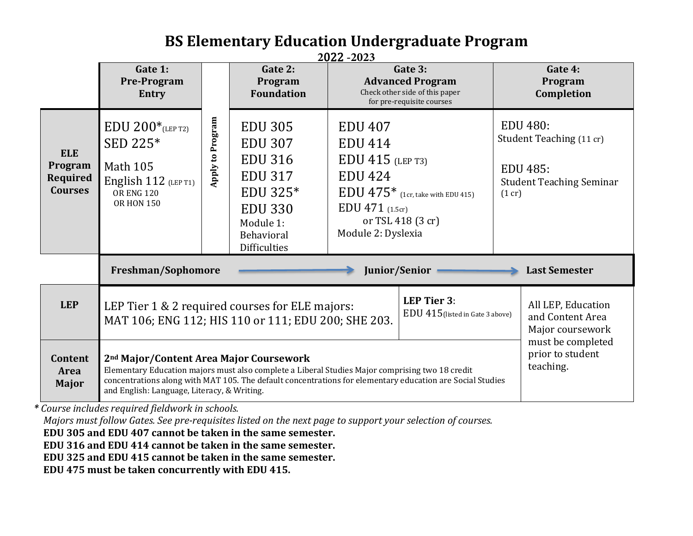#### **BS Elementary Education Undergraduate Program 2**022 **-2023**

|                                                                                                                                                                                                                                                                                                                                                                                                         | Gate 1:<br><b>Pre-Program</b><br>Entry                                                                                                                                                                                                                                                                                                                                   |                  | Gate 2:<br>Program<br><b>Foundation</b>                                                                                                              | 2022 -202 <i>3</i><br>Gate 3:<br><b>Advanced Program</b><br>Check other side of this paper<br>for pre-requisite courses                                                       |  | Gate 4:<br>Program<br>Completion                                                                            |                                                            |
|---------------------------------------------------------------------------------------------------------------------------------------------------------------------------------------------------------------------------------------------------------------------------------------------------------------------------------------------------------------------------------------------------------|--------------------------------------------------------------------------------------------------------------------------------------------------------------------------------------------------------------------------------------------------------------------------------------------------------------------------------------------------------------------------|------------------|------------------------------------------------------------------------------------------------------------------------------------------------------|-------------------------------------------------------------------------------------------------------------------------------------------------------------------------------|--|-------------------------------------------------------------------------------------------------------------|------------------------------------------------------------|
| <b>ELE</b><br>Program<br>Required<br><b>Courses</b>                                                                                                                                                                                                                                                                                                                                                     | $EDU 200*_{(LEP T2)}$<br>SED 225*<br><b>Math 105</b><br>English $112$ (LEP T1)<br><b>OR ENG 120</b><br><b>OR HON 150</b>                                                                                                                                                                                                                                                 | Apply to Program | <b>EDU 305</b><br><b>EDU 307</b><br><b>EDU 316</b><br><b>EDU 317</b><br>EDU 325*<br><b>EDU 330</b><br>Module 1:<br>Behavioral<br><b>Difficulties</b> | <b>EDU 407</b><br><b>EDU 414</b><br>$EDU$ 415 (LEP T3)<br><b>EDU 424</b><br>$EDU 475*$ (1cr, take with EDU 415)<br>EDU 471 (1.5cr)<br>or TSL 418 (3 cr)<br>Module 2: Dyslexia |  | <b>EDU 480:</b><br>Student Teaching (11 cr)<br><b>EDU 485:</b><br><b>Student Teaching Seminar</b><br>(1 cr) |                                                            |
|                                                                                                                                                                                                                                                                                                                                                                                                         | Freshman/Sophomore<br>Junior/Senior<br><b>Last Semester</b>                                                                                                                                                                                                                                                                                                              |                  |                                                                                                                                                      |                                                                                                                                                                               |  |                                                                                                             |                                                            |
| <b>LEP</b>                                                                                                                                                                                                                                                                                                                                                                                              | LEP Tier 3:<br>LEP Tier 1 & 2 required courses for ELE majors:<br>EDU 415 (listed in Gate 3 above)<br>MAT 106; ENG 112; HIS 110 or 111; EDU 200; SHE 203.                                                                                                                                                                                                                |                  |                                                                                                                                                      |                                                                                                                                                                               |  |                                                                                                             | All LEP, Education<br>and Content Area<br>Major coursework |
| <b>Content</b><br>Area<br><b>Major</b>                                                                                                                                                                                                                                                                                                                                                                  | must be completed<br>prior to student<br>2 <sup>nd</sup> Major/Content Area Major Coursework<br>teaching.<br>Elementary Education majors must also complete a Liberal Studies Major comprising two 18 credit<br>concentrations along with MAT 105. The default concentrations for elementary education are Social Studies<br>and English: Language, Literacy, & Writing. |                  |                                                                                                                                                      |                                                                                                                                                                               |  |                                                                                                             |                                                            |
| Course includes required fieldwork in schools.<br>Majors must follow Gates. See pre-requisites listed on the next page to support your selection of courses.<br>EDU 305 and EDU 407 cannot be taken in the same semester.<br>EDU 316 and EDU 414 cannot be taken in the same semester.<br>EDU 325 and EDU 415 cannot be taken in the same semester.<br>EDU 475 must be taken concurrently with EDU 415. |                                                                                                                                                                                                                                                                                                                                                                          |                  |                                                                                                                                                      |                                                                                                                                                                               |  |                                                                                                             |                                                            |